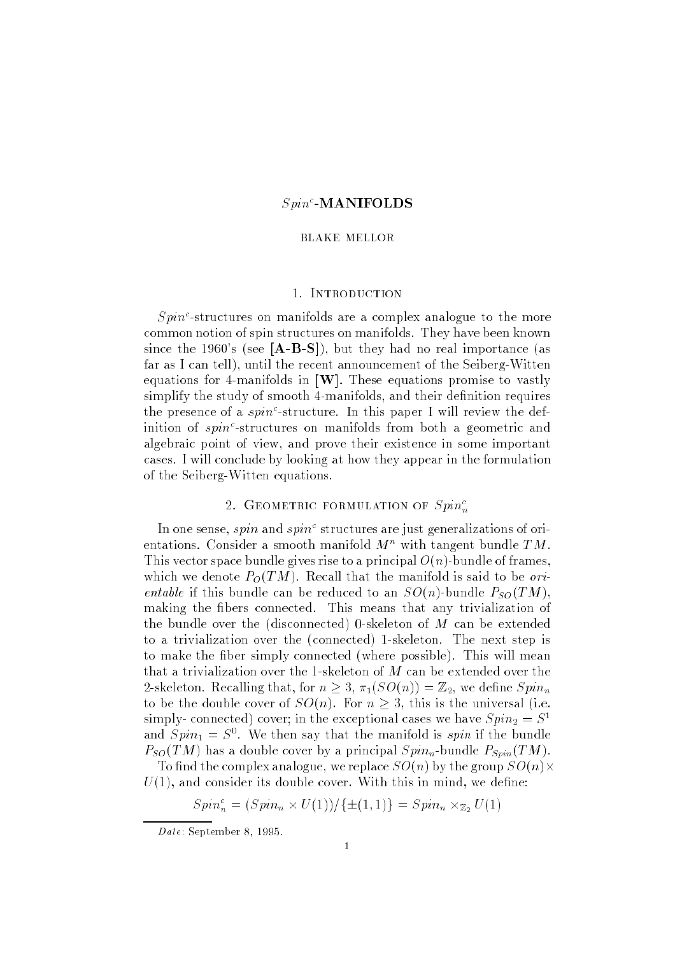## $Spin^c$ -MANIFOLDS

### BLAKE MELLOR

# 1. Introduction

 $Spin<sup>c</sup>$ -structures on manifolds are a complex analogue to the more common notion of spin structures on manifolds. They have been known since the 1960's (see  $[A-B-S]$ ), but they had no real importance (as far as I can tell), until the recent announcement of the Seiberg-Witten equations for 4-manifolds in  $[\mathbf{W}]$ . These equations promise to vastly simplify the study of smooth 4-manifolds, and their definition requires the presence of a  $spin^c$ -structure. In this paper I will review the definition of  $spin<sup>c</sup>$ -structures on manifolds from both a geometric and algebraic point of view, and prove their existence in some important cases. I will conclude by looking at how they appear in the formulation of the Seiberg-Witten equations.

## 2. GEOMETRIC FORMULATION OF  $Spin_n^c$

In one sense, spin and spin<sup>c</sup> structures are just generalizations of orientations. Consider a smooth manifold  $M^n$  with tangent bundle  $TM$ . This vector space bundle gives rise to a principal  $O(n)$ -bundle of frames, which we denote  $P_O(TM)$ . Recall that the manifold is said to be *ori*entable if this bundle can be reduced to an  $SO(n)$ -bundle  $P_{SO}(TM)$ , making the fibers connected. This means that any trivialization of the bundle over the (disconnected) 0-skeleton of M can be extended to a trivialization over the (connected) 1-skeleton. The next step is to make the fiber simply connected (where possible). This will mean that a trivialization over the 1-skeleton of  $M$  can be extended over the 2-skeleton. Recalling that, for  $n \geq 3$ ,  $\pi_1(SO(n)) = \mathbb{Z}_2$ , we define  $Spin_n$ to be the double cover of  $SO(n)$ . For  $n \geq 3$ , this is the universal (i.e. simply-connected) cover; in the exceptional cases we have  $Spin_2 = S^1$ and  $Spin_1 = S^*$ . We then say that the manifold is spin if the bundle  $P_{SO}(TM)$  has a double cover by a principal  $Spin_n$ -bundle  $P_{Spin}(TM)$ .

To find the complex analogue, we replace  $SO(n)$  by the group  $SO(n) \times$  $U(1)$ , and consider its double cover. With this in mind, we define:

$$
Spin_n^c = (Spin_n \times U(1)) / \{ \pm (1,1) \} = Spin_n \times_{\mathbb{Z}_2} U(1)
$$

Date: September 8, 1995.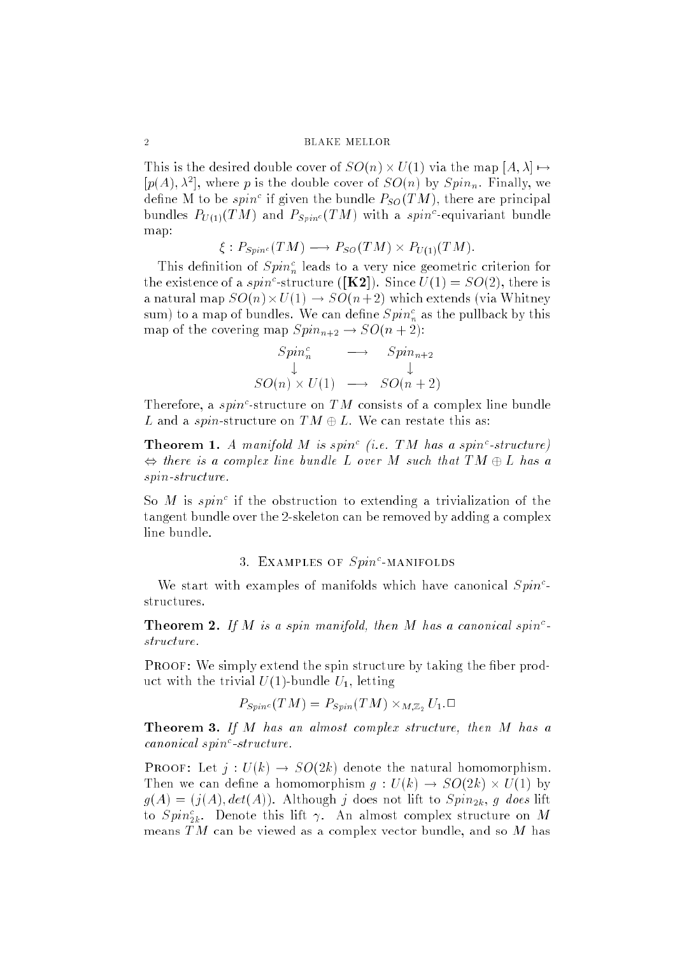This is the desired double cover of SO(n) - U(1) via the map  $\mu$  1-1) - $[p(A), \lambda^*]$ , where p is the double cover of  $SO(n)$  by  $Spin_n$ . Finally, we define M to be spin<sup>c</sup> if given the bundle  $P_{SO}(TM)$ , there are principal bundles  $P_{U(1)}(TM)$  and  $P_{Spin^c}(TM)$  with a spin<sup>c</sup>-equivariant bundle map:

$$
\xi: P_{Spin^c}(TM) \longrightarrow P_{SO}(TM) \times P_{U(1)}(TM).
$$

This definition of  $Spin<sub>n</sub><sup>c</sup>$  leads to a very nice geometric criterion for the existence of a spin<sup>c</sup>-structure ([**K2**]). Since  $U(1) = SO(2)$ , there is a natural map Society which extends (via White-Society and Society and Society and Society and Society and Soci sum) to a map of bundles. We can define  $Spin_n^c$  as the pullback by this map of the covering map  $Spin_{n+2} \to SO(n+2)$ :

$$
Spin_n^c \longrightarrow Spin_{n+2}
$$
  
\n
$$
\downarrow \qquad \qquad \downarrow
$$
  
\n
$$
SO(n) \times U(1) \longrightarrow SO(n+2)
$$

Therefore, a spin<sup>c</sup>-structure on TM consists of a complex line bundle L and a spin-structure on  $TM \oplus L$ . We can restate this as:

**Theorem 1.** A manifold M is spin<sup>c</sup> (i.e. TM has a spin<sup>c</sup>-structure) , there is a complex line building a complex line bund a complex  $\mathcal{L}_\mathcal{D}$ spin-structure.

So M is spin<sup>c</sup> if the obstruction to extending a trivialization of the tangent bundle over the 2-skeleton can be removed by adding a complex line bundle.

## 3. EXAMPLES OF  $Spin^c\text{-}{\bf MANFOLDS}$

We start with examples of manifolds which have canonical  $Spin<sup>c</sup>$ structures.

**Theorem 2.** If M is a spin manifold, then M has a canonical spin<sup>c</sup>structure.

**PROOF:** We simply extend the spin structure by taking the fiber product with the trivial  $U(1)$ -bundle  $U_1$ , letting

$$
P_{Spin^c}(TM) = P_{Spin}(TM) \times_{M,\mathbb{Z}_2} U_1.\square
$$

**Theorem 3.** If M has an almost complex structure, then M has a canonical spin<sup>c</sup>-structure.

**PROOF:** Let  $j: U(k) \rightarrow SO(2k)$  denote the natural homomorphism. Then we can dene a homomorphism g : U(k) ! SO(2k) - U(1) by  $g(A) = (j(A), det(A))$ . Although j does not lift to  $Spin_{2k}$ , g does lift to  $Spin_{2k}^c$ . Denote this lift  $\gamma$ . An almost complex structure on  $M$ means  $TM$  can be viewed as a complex vector bundle, and so M has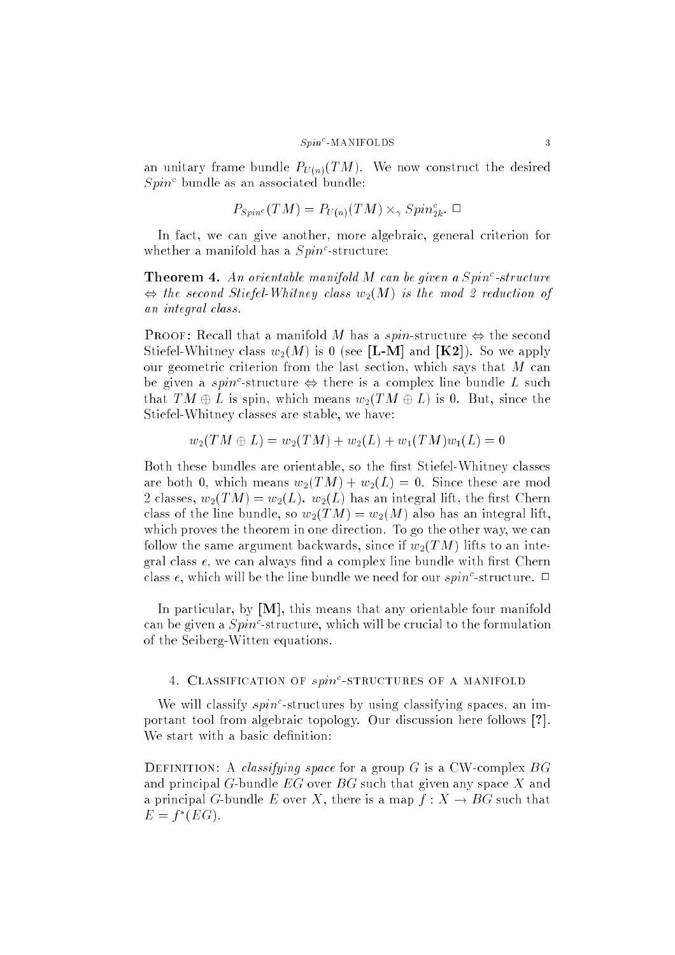#### $S_{\textit{min}}$ <sup>c</sup>-MANIFOLDS 3

an unitary frame bundle  $P_{U(n)}(TM)$ . We now construct the desired  $Spin<sup>c</sup>$  bundle as an associated bundle:

$$
P_{Spin^c}(TM) = P_{U(n)}(TM) \times_\gamma Spin^c_{2k}.\ \Box
$$

In fact, we can give another, more algebraic, general criterion for whether a manifold has a  $Spin<sup>c</sup>$ -structure:

**Theorem 4.** An orientable manifold M can be given a  $Spin^c\text{-}structure$ , the second Stiefel-Whitney class w2(M) is the mod 2 reduction of an integral class.

**PROOF:** Recall that a manifold M has a spin-structure  $\Leftrightarrow$  the second Stiefel-Whitney class  $w_2(M)$  is 0 (see [L-M] and [K2]). So we apply our geometric criterion from the last section, which says that  $M$  can be given a spin<sup>c</sup>-structure  $\Leftrightarrow$  there is a complex line bundle L such that  $TM \oplus L$  is spin, which means  $w_2(TM \oplus L)$  is 0. But, since the Stiefel-Whitney classes are stable, we have:

$$
w_2(TM\oplus L)=w_2(TM)+w_2(L)+w_1(TM)w_1(L)=0
$$

Both these bundles are orientable, so the first Stiefel-Whitney classes are both 0, which means  $w_2(TM) + w_2(L) = 0$ . Since these are mod 2 classes,  $w_2(TM) = w_2(L)$ .  $w_2(L)$  has an integral lift, the first Chern class of the line bundle, so  $w_2(TM) = w_2(M)$  also has an integral lift, which proves the theorem in one direction. To go the other way, we can follow the same argument backwards, since if  $w_2(TM)$  lifts to an integral class  $e$ , we can always find a complex line bundle with first Chern class e, which will be the line bundle we need for our  $spin<sup>c</sup>$ -structure.  $\Box$ 

In particular, by  $[M]$ , this means that any orientable four manifold can be given a  $Spin^c$ -structure, which will be crucial to the formulation of the Seiberg-Witten equations.

## 4. CLASSIFICATION OF  $spin^c\text{-}STRUCTURES$  of a manifold

We will classify  $spin<sup>c</sup>$ -structures by using classifying spaces, an important tool from algebraic topology. Our discussion here follows [?]. We start with a basic definition:

DEFINITION: A *classifying space* for a group G is a CW-complex  $BG$ and principal G-bundle  $EG$  over  $BG$  such that given any space X and a principal G-bundle E over X, there is a map  $f: X \to BG$  such that  $E = I \cup U$ .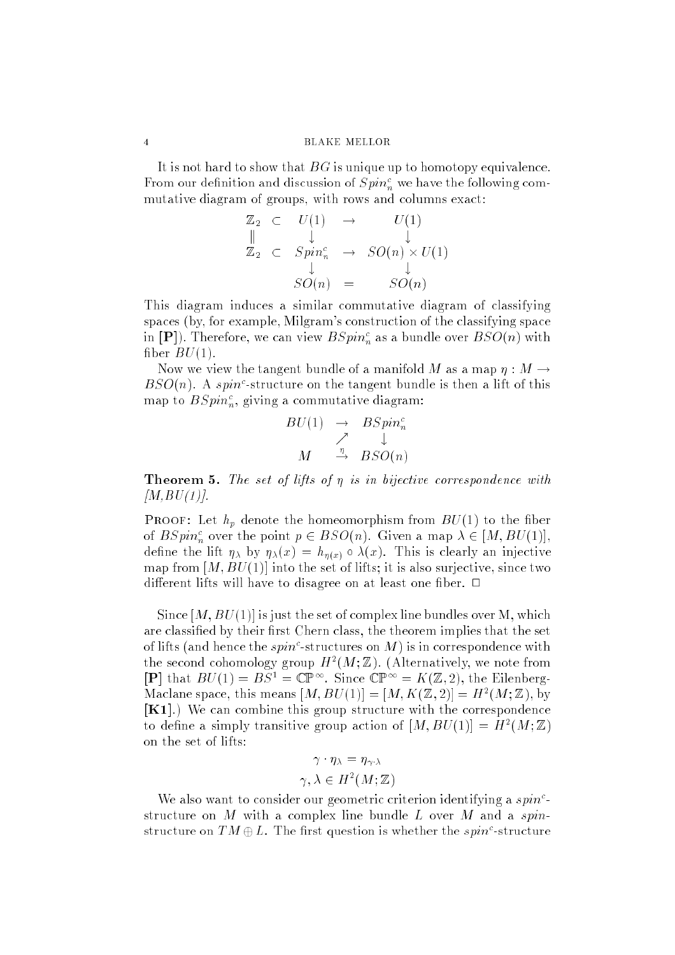It is not hard to show that  $BG$  is unique up to homotopy equivalence. From our definition and discussion of  $Spin<sub>n</sub><sup>c</sup>$  we have the following commutative diagram of groups, with rows and columns exact:

$$
\mathbb{Z}_2 \quad \subset \quad U(1) \quad \to \quad \quad U(1) \n\mathbb{Z}_2 \quad \subset \quad Spin_n^c \quad \to \quad SO(n) \times U(1) \n\downarrow \qquad \qquad SO(n) \quad = \quad \quad SO(n)
$$

This diagram induces a similar commutative diagram of classifying spaces (by, for example, Milgram's construction of the classifying space in  $[{\bf P}]$ ). Therefore, we can view  $BSpin_n^c$  as a bundle over  $BSO(n)$  with fiber  $BU(1)$ .

Now we view the tangent bundle of a manifold M as a map  $\eta : M \to$  $BSO(n)$ . A spin<sup>c</sup>-structure on the tangent bundle is then a lift of this map to  $BSpin_n^c$ , giving a commutative diagram:

$$
BU(1) \rightarrow BSpin_n^c
$$
  

$$
\nearrow \quad \downarrow
$$
  

$$
M \quad \xrightarrow{\eta} \quad BSO(n)
$$

**Theorem 5.** The set of lifts of  $\eta$  is in bijective correspondence with  $[M,BU(1)].$ 

**PROOF:** Let  $h_p$  denote the homeomorphism from  $BU(1)$  to the fiber of  $BSpin_n^c$  over the point  $p \in BSO(n)$ . Given a map  $\lambda \in [M, BU(1)],$ define the lift  $\eta_{\lambda}$  by  $\eta_{\lambda}(x) = h_{\eta(x)} \circ \lambda(x)$ . This is clearly an injective map from  $[M, BU(1)]$  into the set of lifts; it is also surjective, since two different lifts will have to disagree on at least one fiber.  $\Box$ 

Since  $[M, BU(1)]$  is just the set of complex line bundles over M, which are classified by their first Chern class, the theorem implies that the set of lifts (and hence the *spin*<sup>c</sup>-structures on M) is in correspondence with the second cohomology group  $H^-(M;\mathbb{Z})$ . (Alternatively, we note from  $[P]$  that  $BU(1) = BS^1 = \mathbb{CP}^{\infty}$ . Since  $\mathbb{CP}^{\infty} = K(\mathbb{Z}, 2)$ , the Eilenberg-Maciane space, this means  $|M, BU(1)| = |M, K(Z, Z)| = H^2(M; Z)$ , by [K1].) We can combine this group structure with the correspondence to define a simply transitive group action of  $|M, BU(1)| = H^-(M; \mathbb{Z})$ on the set of lifts:

$$
\gamma \cdot \eta_{\lambda} = \eta_{\gamma \cdot \lambda}
$$

$$
\gamma, \lambda \in H^2(M; \mathbb{Z})
$$

We also want to consider our geometric criterion identifying a  $spin<sup>c</sup>$ structure on M with a complex line bundle L over M and a spinstructure on  $TM \oplus L$ . The first question is whether the spin<sup>c</sup>-structure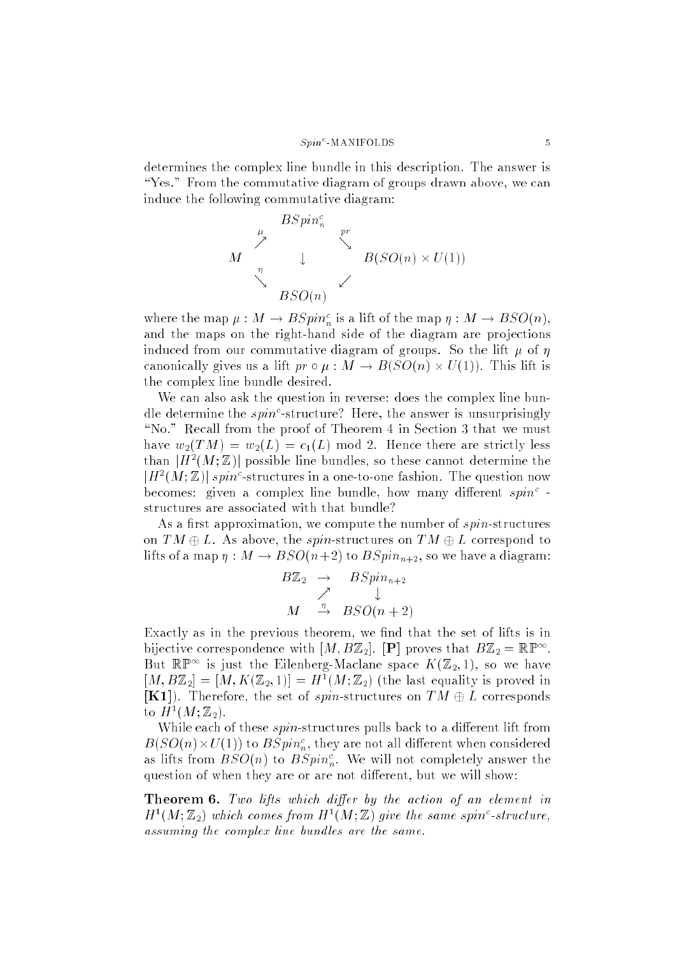determines the complex line bundle in this description. The answer is "Yes." From the commutative diagram of groups drawn above, we can induce the following commutative diagram:



where the map  $\mu : M \to BSpin_n^c$  is a lift of the map  $\eta : M \to BSO(n)$ , and the maps on the right-hand side of the diagram are projections induced from our commutative diagram of groups. So the lift  $\mu$  of  $\eta$ canonically gives us a lift pr : M ! B(SO(n) - U(1)). This lift is the complex line bundle desired.

We can also ask the question in reverse: does the complex line bundle determine the  $spin^c$ -structure? Here, the answer is unsurprisingly "No." Recall from the proof of Theorem 4 in Section 3 that we must have  $w_2(TM) = w_2(L) = c_1(L) \text{ mod } 2$ . Hence there are strictly less than  $\vert H^-(M; \mathbb{Z}) \vert$  possible line bundles, so these cannot determine the  $|H^2(M;\mathbb{Z})|$  spin<sup>c</sup>-structures in a one-to-one fashion. The question now becomes: given a complex line bundle, how many different  $spin<sup>c</sup>$ . structures are associated with that bundle?

As a first approximation, we compute the number of  $spin-structures$ on  $TM \oplus L$ . As above, the spin-structures on  $TM \oplus L$  correspond to lifts of a map  $\eta : M \to BSO(n+2)$  to  $BSpin_{n+2}$ , so we have a diagram:

$$
B\mathbb{Z}_2 \rightarrow BSpin_{n+2}
$$
  

$$
\nearrow \qquad \downarrow
$$
  

$$
M \xrightarrow{\eta} BSO(n+2)
$$

Exactly as in the previous theorem, we find that the set of lifts is in bijective correspondence with  $[M, B\mathbb{Z}_2]$ . [P] proves that  $B\mathbb{Z}_2 = \mathbb{RP}^{\infty}$ . But  $\mathbb{R}^n$  is just the Ellenberg-Maclane space  $\Lambda(\mathbb{Z}_2,1)$ , so we have  $|M, B\mathbb{Z}_2| = |M, K(\mathbb{Z}_2, 1)| = H^*(M; \mathbb{Z}_2)$  (the last equality is proved in  $[K1]$ . Therefore, the set of spin-structures on  $TM \oplus L$  corresponds to  $H^-(M; \mathbb{Z}_2)$ .

While each of these  $spin$ -structures pulls back to a different lift from  $B(SO(n)\times U(1))$  to  $BSpin_n^c$ , they are not all different when considered as lifts from  $BSO(n)$  to  $BSpin_n^c$ . We will not completely answer the question of when they are or are not different, but we will show:

**Theorem 6.** Two lifts which differ by the action of an element in  $H^1(M; \mathbb{Z}_2)$  which comes from  $H^1(M; \mathbb{Z})$  give the same spin<sup>c</sup>-structure, assuming the complex line bundles are the same.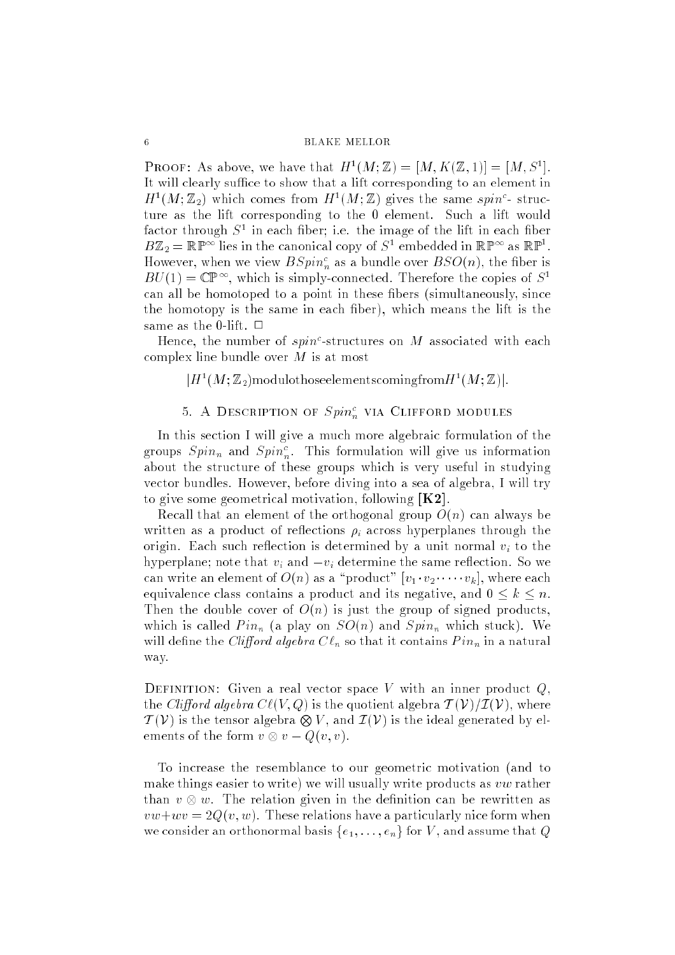**PROOF:** As above, we have that  $H^-(M;\mathbb{Z}) = |M, K(\mathbb{Z},1)| = |M, S'|$ . It will clearly suffice to show that a lift corresponding to an element in  $H^1(M; \mathbb{Z}_2)$  which comes from  $H^1(M; \mathbb{Z})$  gives the same spin<sup>c</sup>-structure as the lift corresponding to the 0 element. Such a lift would ractor through  $S^1$  in each liber; i.e. the image of the lift in each liber  $B\mathbb{Z}_2 = \mathbb{RF}^\infty$  lies in the canonical copy of S1 embedded in  $\mathbb{RF}^\infty$  as  $\mathbb{RF}$ . However, when we view  $BSpin_n^c$  as a bundle over  $BSO(n)$ , the fiber is  $B_U(1) = \cup \mathbb{P}$ . Which is simply-connected. Therefore the copies of S<sup>-1</sup> can all be homotoped to a point in these bers (simultaneously, since the homotopy is the same in each ber), which means the lift is the same as the 0-lift.  $\Box$ 

Hence, the number of  $spin^c$ -structures on M associated with each complex line bundle over  $M$  is at most

 $|H^-(M;\mathbb{Z}_2)$ modulothoseelementscomingfrom $H^-(M;\mathbb{Z})|$ .

# 5. A DESCRIPTION OF  $Spin_n^c$  via Clifford modules

In this section I will give a much more algebraic formulation of the groups  $Spin_n$  and  $Spin_n^c$ . This formulation will give us information about the structure of these groups which is very useful in studying vector bundles. However, before diving into a sea of algebra, I will try to give some geometrical motivation, following  $K2$ .

Recall that an element of the orthogonal group  $O(n)$  can always be written as a product of reflections  $\rho_i$  across hyperplanes through the origin. Each such reflection is determined by a unit normal  $v_i$  to the hyperplane; note that  $v_i$  and  $-v_i$  determine the same reflection. So we can write an element of  $O(n)$  as a "product"  $[v_1 \cdot v_2 \cdot \cdot \cdot \cdot v_k]$ , where each equivalence class contains a product and its negative, and  $0 \leq k \leq n$ . Then the double cover of  $O(n)$  is just the group of signed products, which is called  $Pin_n$  (a play on  $SO(n)$  and  $Spin_n$  which stuck). We will define the *Clifford algebra*  $C \ell_n$  so that it contains  $Pin_n$  in a natural way.

DEFINITION: Given a real vector space V with an inner product  $Q$ . the Clifford algebra  $C\ell(V, Q)$  is the quotient algebra  $\mathcal{T}(V)/\mathcal{I}(V)$ , where  $\mathcal{T}(V)$  is the tensor algebra  $\otimes V$ , and  $\mathcal{I}(V)$  is the ideal generated by elements of the form visit of the form value of  $\alpha$ 

To increase the resemblance to our geometric motivation (and to make things easier to write) we will usually write products as vw rather than v w. The relation given in the denition can be rewritten as  $vw+wv = 2Q(v, w)$ . These relations have a particularly nice form when we consider an orthonormal basis  $\{e_1, \ldots, e_n\}$  for V, and assume that Q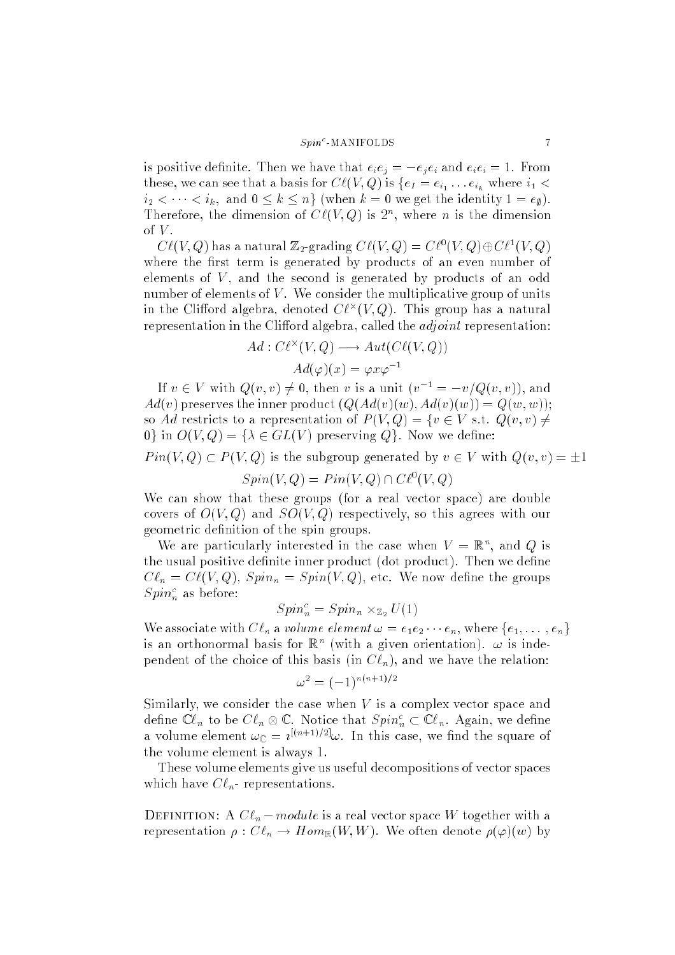#### $S_{\bm{n}\bm{i}\bm{n}}$ <sup>c</sup>-MANIFOLDS 7

is positive definite. Then we have that  $e_i e_j = -e_i e_i$  and  $e_i e_i = 1$ . From these, we can see that a basis for  $\cup \ell(v, Q)$  is  $\{ef = e_{i_1} \dots e_{i_k}$  where  $i_1 \leq$  $i_2 < \cdots < i_k$ , and  $0 \leq k \leq n$  (when  $k = 0$  we get the identity  $1 = e_{\emptyset}$ ). Therefore, the dimension of  $C\ell(V, Q)$  is  $2^n$ , where n is the dimension of  $V$ .

 $\mathcal{C} \ell(V, Q)$  has a natural  $\mathbb{Z}_2$ -grading  $\mathcal{C} \ell(V, Q) = \mathcal{C} \ell^*(V, Q) \oplus \mathcal{C} \ell^*(V, Q)$ where the first term is generated by products of an even number of elements of  $V$ , and the second is generated by products of an odd number of elements of  $V$ . We consider the multiplicative group of units in the Clifford algebra, denoted  $U\ell^\smallfrown(V,Q)$ . This group has a natural representation in the Clifford algebra, called the  $adjoint$  representation:

$$
Ad: C\ell^{\times}(V, Q) \longrightarrow Aut(C\ell(V, Q))
$$

$$
Ad(\varphi)(x) = \varphi x \varphi^{-1}
$$

If  $v \in V$  with  $Q(v, v) \neq 0$ , then v is a unit  $(v^{-1} = -v/Q(v, v))$ , and  $Ad(v)$  preserves the inner product  $(Q(Ad(v)(w), Ad(v)(w))) = Q(w, w));$ so Ad restricts to a representation of  $P(V,Q) = \{v \in V \text{ s.t. } Q(v,v) \neq$ 0} in  $O(V,Q) = \{\lambda \in GL(V) \text{ preserving } Q\}$ . Now we define:  $Pin(V, Q) \subset P(V, Q)$  is the subgroup generated by  $v \in V$  with  $Q(v, v) = \pm 1$ 

 $\text{D} \text{p} \text{m}(V, Q) = \text{P} \text{m}(V, Q) \sqcup \text{C} \ell^2(V, Q)$ 

We can show that these groups (for a real vector space) are double covers of  $O(V, Q)$  and  $SO(V, Q)$  respectively, so this agrees with our geometric definition of the spin groups.

We are particularly interested in the case when  $V = \mathbb{R}^n$ , and Q is the usual positive definite inner product (dot product). Then we define  $C \ell_n = C\ell(V, Q), Spin_n = Spin(V, Q),$  etc. We now define the groups  $Spin_n^c$  as before:

$$
Spin_n^c = Spin_n \times_{\mathbb{Z}_2} U(1)
$$

We associate with  $Cl_n$  a volume element  $\omega = e_1e_2 \cdots e_n$ , where  $\{e_1, \ldots, e_n\}$ is an orthonormal basis for  $\mathbb{R}^n$  (with a given orientation).  $\omega$  is independent of the choice of this basis (in  $C \ell_n$ ), and we have the relation:

$$
\omega^2 = (-1)^{n(n+1)/2}
$$

Similarly, we consider the case when  $V$  is a complex vector space and define  ${\mathbb C}\ell_n$  to be  $C\ell_n \otimes {\mathbb C}.$  Notice that  $Spin_n^c \subset {\mathbb C}\ell_n.$  Again, we define a volume element  $\omega_{\mathbb{C}} = i^{[(n+1)/2]} \omega$ . In this case, we find the square of the volume element is always 1.

These volume elements give us useful decompositions of vector spaces which have  $C \ell_n$ - representations.

**DEFINITION:** A  $Cl_n$  – module is a real vector space W together with a representation  $\rho: C\ell_n \to Hom_{\mathbb{R}}(W, W)$ . We often denote  $\rho(\varphi)(w)$  by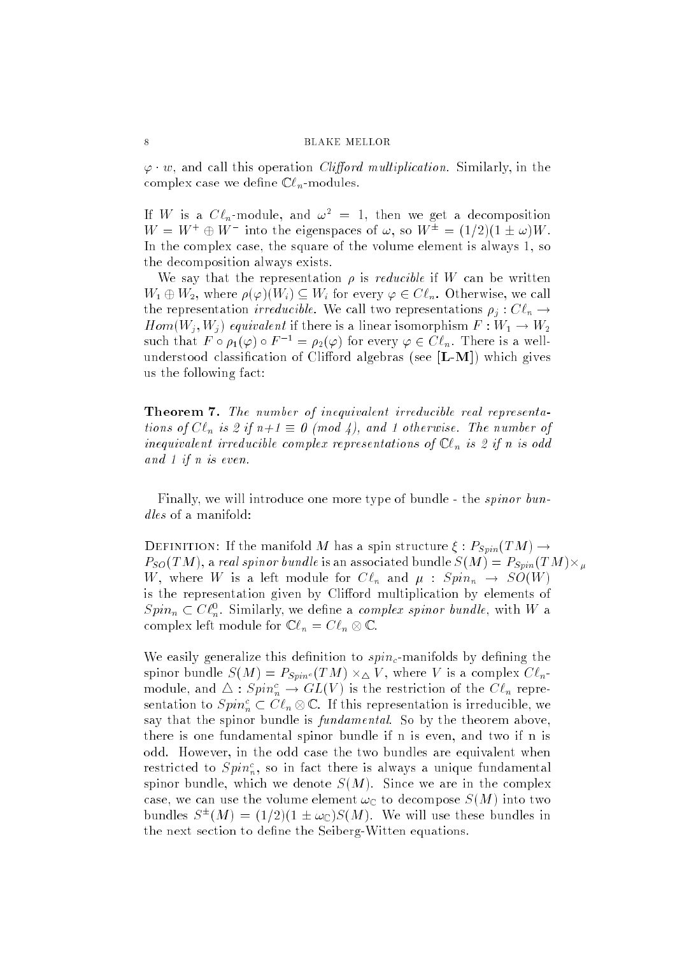$\varphi \cdot w$ , and call this operation *Clifford multiplication*. Similarly, in the complex case we define  $\mathbb{C}\ell_n$ -modules.

If W is a  $C \ell_n$ -module, and  $\omega^2 = 1$ , then we get a decomposition  $W = W + \oplus W$  into the eigenspaces of  $\omega$ , so  $W = \pm 1/2 \pm 1 \pm \omega W$ . In the complex case, the square of the volume element is always 1, so the decomposition always exists.

We say that the representation  $\rho$  is *reducible* if W can be written  $W_1 \oplus W_2$ , where  $\rho(\varphi)(W_i) \subseteq W_i$  for every  $\varphi \in C\ell_n$ . Otherwise, we call the representation *irreducible*. We call two representations  $\rho_i : C \ell_n \to$  $Hom(W_j, W_j)$  equivalent if there is a linear isomorphism  $F: W_1 \to W_2$ such that  $F \circ \rho_1(\varphi) \circ F^{-1} = \rho_2(\varphi)$  for every  $\varphi \in C\ell_n$ . There is a wellunderstood classification of Clifford algebras (see  $[L-M]$ ) which gives us the following fact:

Theorem 7. The number of inequivalent irreducible real representations of  $Cl_n$  is 2 if  $n+1 \equiv 0 \pmod{4}$ , and 1 otherwise. The number of inequivalent irreducible complex representations of  $\mathbb{C}\ell_n$  is 2 if n is odd and 1 if n is even.

Finally, we will introduce one more type of bundle - the spinor bundles of a manifold:

DEFINITION: If the manifold M has a spin structure  $\xi : P_{Spin}(TM) \rightarrow$  $F_{SO}(T_{M})$ , a real spinor bundle is an associated bundle  $_{S}(M_{\odot})\equiv F_{Spin}(T_{M})\times_{\mu}$ W, where W is a left module for  $C \ell_n$  and  $\mu : Spin_n \to SO(W)$ is the representation given by Clifford multiplication by elements of  $Spin_n \subset U_{n}$ . Similarly, we define a *complex spinor bundle*, with *W* a complex fert module for  $\mathcal{C}e_n = \mathcal{C}e_n \otimes \mathcal{C}$ .

We easily generalize this definition to  $spin_c$ -manifolds by defining the spinor bundle  $S(M) \equiv F_{Spin^c}(TM) \times \Delta V$ , where V is a complex  $\cup \ell_n$ module, and  $\Delta : Spin_n^c \to GL(V)$  is the restriction of the  $Cl_n$  representation to  $Spin_n^c\subset C\ell_n\otimes \mathbb{C}.$  If this representation is irreducible, we say that the spinor bundle is *fundamental*. So by the theorem above, there is one fundamental spinor bundle if n is even, and two if n is odd. However, in the odd case the two bundles are equivalent when restricted to  $Spin_n^c$ , so in fact there is always a unique fundamental spinor bundle, which we denote  $S(M)$ . Since we are in the complex case, we can use the volume element  $\omega_{\mathbb{C}}$  to decompose  $S(M)$  into two bundles  $S^{-1}(M) = (1/2)(1 \pm \omega_C)S(M)$ . We will use these bundles in the next section to define the Seiberg-Witten equations.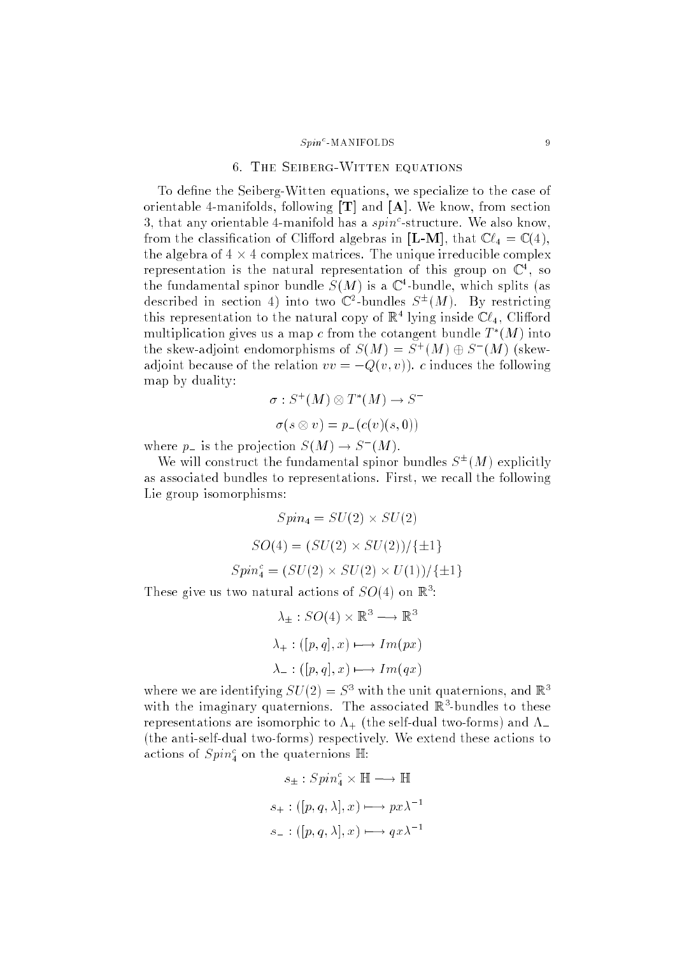#### $S_{\textit{min}}$ <sup>c</sup>-MANIFOLDS 9

# 6. The Seiberg-Witten equations

To define the Seiberg-Witten equations, we specialize to the case of orientable 4-manifolds, following  $[T]$  and  $[A]$ . We know, from section 3, that any orientable 4-manifold has a  $spin<sup>c</sup>$ -structure. We also know, from the classification of Clifford algebras in [L-M], that  $\mathbb{C}\ell_4 = \mathbb{C} (4)$ , the algebra of 4 - 4 complex matrices. The unique irreducible complex representation is the natural representation of this group on  $\mathbb{C}^+$ , so the fundamental spinor bundle  $S(M)$  is a  $\mathbb{C}$ -bundle, which splits (as described in section 4) into two  $\mathbb{C}$  -bundles  $S^+(M)$ . By restricting this representation to the natural copy of  $\mathbb{R}^+$  lying inside  $\mathbb{C}\ell_4$ , Clifford multiplication gives us a map c from the cotangent bundle  $T^-(M)$  into the skew-adjoint endomorphisms of  $S(M) = S^+(M) \oplus S^-(M)$  (skewadjoint because of the relation  $vv = -Q(v, v)$ . c induces the following map by duality:

$$
\sigma: S^+(M) \otimes T^*(M) \to S^-
$$

$$
\sigma(s \otimes v) = p_-(c(v)(s,0))
$$

where  $p_{\perp}$  is the projection  $S(M) \rightarrow S(M)$ .

We will construct the fundamental spinor bundles  $S^+(M)$  explicitly as associated bundles to representations. First, we recall the following Lie group isomorphisms:

$$
Spin_4 = SU(2) \times SU(2)
$$
  

$$
SO(4) = (SU(2) \times SU(2))/\{\pm 1\}
$$
  

$$
Spin_4^c = (SU(2) \times SU(2) \times U(1))/\{\pm 1\}
$$
  
These give us two natural actions of  $SO(4)$  on  $\mathbb{R}^3$ :

$$
\lambda_{\pm}: SO(4) \times \mathbb{R}^3 \longrightarrow \mathbb{R}^3
$$

$$
\lambda_{+}: ([p, q], x) \longmapsto Im(px)
$$

$$
\lambda_{-}: ([p, q], x) \longmapsto Im(qx)
$$

where we are identifying  $SU(2) = S<sup>2</sup>$  with the unit quaternions, and  $\mathbb{R}^+$ with the imaginary quaternions. The associated is bundles to these representations are isomorphic to  $\Lambda_{+}$  (the self-dual two-forms) and  $\Lambda_{-}$ (the anti-self-dual two-forms) respectively. We extend these actions to actions of  $Spin_4^c$  on the quaternions  $\mathbb{H}$ :

$$
s_{\pm}: Spin_{4}^{c} \times \mathbb{H} \longrightarrow \mathbb{H}
$$

$$
s_{+}: ([p, q, \lambda], x) \longmapsto px\lambda^{-1}
$$

$$
s_{-}: ([p, q, \lambda], x) \longmapsto qx\lambda^{-1}
$$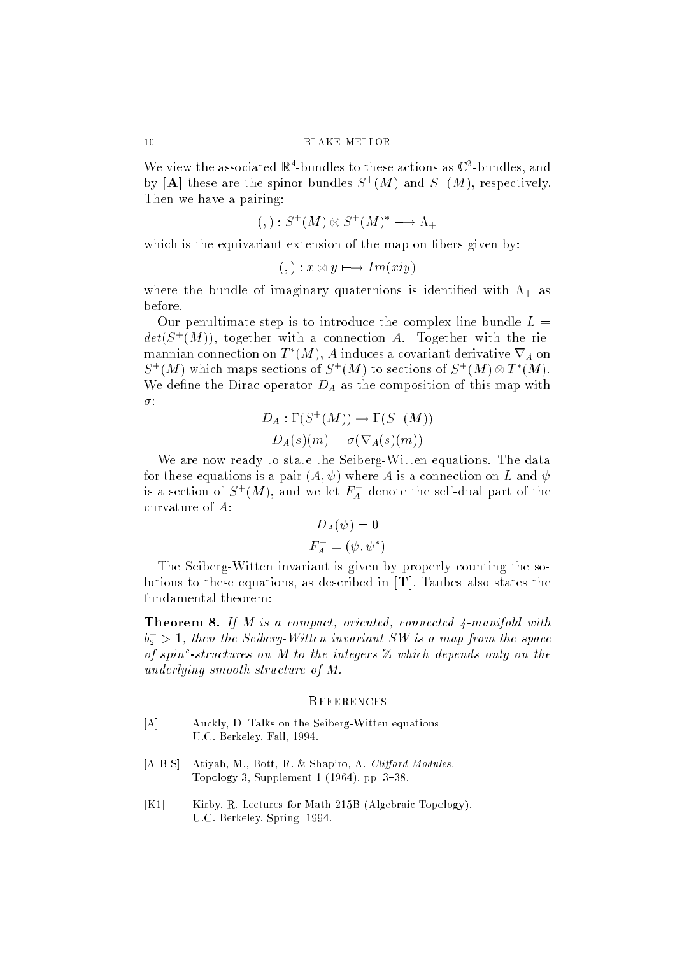We view the associated  $\mathbb{R}^+$ -bundles to these actions as  $\mathbb{C}^-$ -bundles, and by  $[A]$  these are the spinor bundles  $S^+(M)$  and  $S^-(M)$ , respectively. Then we have a pairing:

$$
(,): S^+(M) \otimes S^+(M)^* \longrightarrow \Lambda_+
$$

which is the equivariant extension of the map on fibers given by:

$$
(,): x \otimes y \longmapsto Im(xy)
$$

where the bundle of imaginary quaternions is identified with  $\Lambda_{+}$  as before.

Our penultimate step is to introduce the complex line bundle  $L =$  $det(\mathcal{S}_{\perp}(M))$ , together with a connection  $A$ . Together with the riemannian connection on  $I^-(M)$ ,  $A$  induces a covariant derivative  $V_A$  on  $S^+(M)$  which maps sections of  $S^+(M)$  to sections of  $S^+(M) \otimes I^-(M)$ . We define the Dirac operator  $D_A$  as the composition of this map with  $\sigma$ :

$$
D_A: \Gamma(S^+(M)) \to \Gamma(S^-(M))
$$
  

$$
D_A(s)(m) = \sigma(\nabla_A(s)(m))
$$

We are now ready to state the Seiberg-Witten equations. The data for these equations is a pair  $(A, \psi)$  where A is a connection on L and  $\psi$ is a section of  $S^+(M)$ , and we let  $F_A^+$  denote the self-dual part of the curvature of  $A$ :

$$
D_A(\psi) = 0
$$
  

$$
F_A^+ = (\psi, \psi^*)
$$

The Seiberg-Witten invariant is given by properly counting the solutions to these equations, as described in [T]. Taubes also states the fundamental theorem:

**Theorem 8.** If  $M$  is a compact, oriented, connected  $\varphi$ -manifold with  $b_2^+ > 1$ , then the Seiberg-Witten invariant SW is a map from the space of spin<sup>c</sup>-structures on M to the integers  $\mathbb Z$  which depends only on the underlying smooth structure of M.

# **REFERENCES**

- [A] Auckly, D. Talks on the Seiberg-Witten equations. U.C. Berkeley. Fall, 1994.
- [A-B-S] Atiyah, M., Bott, R. & Shapiro, A. Clifford Modules. Topology 3, Supplement  $1(1964)$ . pp. 3-38.
- [K1] Kirby, R. Lectures for Math 215B (Algebraic Topology). U.C. Berkeley. Spring, 1994.